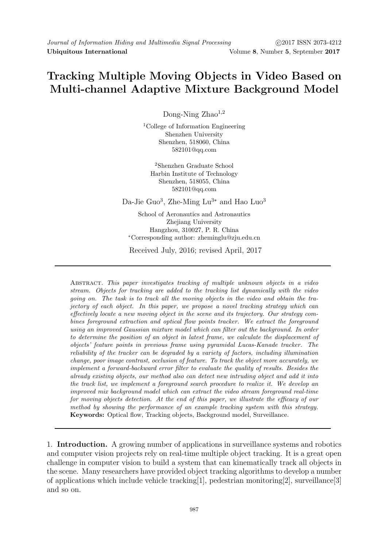Dong-Ning  $Zhao<sup>1,2</sup>$ 

<sup>1</sup>College of Information Engineering Shenzhen University Shenzhen, 518060, China 582101@qq.com

<sup>2</sup>Shenzhen Graduate School Harbin Institute of Technology Shenzhen, 518055, China 582101@qq.com

Da-Jie Guo<sup>3</sup>, Zhe-Ming Lu<sup>3∗</sup> and Hao Luo<sup>3</sup>

School of Aeronautics and Astronautics Zhejiang University Hangzhou, 310027, P. R. China <sup>∗</sup>Corresponding author: zheminglu@zju.edu.cn

Received July, 2016; revised April, 2017

Abstract. This paper investigates tracking of multiple unknown objects in a video stream. Objects for tracking are added to the tracking list dynamically with the video going on. The task is to track all the moving objects in the video and obtain the trajectory of each object. In this paper, we propose a novel tracking strategy which can effectively locate a new moving object in the scene and its trajectory. Our strategy combines foreground extraction and optical flow points tracker. We extract the foreground using an improved Gaussian mixture model which can filter out the background. In order to determine the position of an object in latest frame, we calculate the displacement of objects' feature points in previous frame using pyramidal Lucas-Kanade tracker. The reliability of the tracker can be degraded by a variety of factors, including illumination change, poor image contrast, occlusion of feature. To track the object more accurately, we implement a forward-backward error filter to evaluate the quality of results. Besides the already existing objects, our method also can detect new intruding object and add it into the track list, we implement a foreground search procedure to realize it. We develop an improved mix background model which can extract the video stream foreground real-time for moving objects detection. At the end of this paper, we illustrate the efficacy of our method by showing the performance of an example tracking system with this strategy. Keywords: Optical flow, Tracking objects, Background model, Surveillance.

1. Introduction. A growing number of applications in surveillance systems and robotics and computer vision projects rely on real-time multiple object tracking. It is a great open challenge in computer vision to build a system that can kinematically track all objects in the scene. Many researchers have provided object tracking algorithms to develop a number of applications which include vehicle tracking [1], pedestrian monitoring [2], surveillance [3] and so on.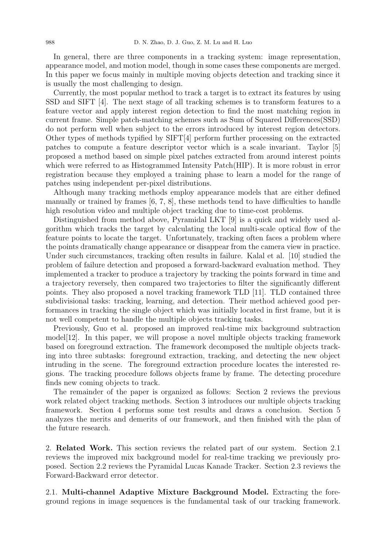In general, there are three components in a tracking system: image representation, appearance model, and motion model, though in some cases these components are merged. In this paper we focus mainly in multiple moving objects detection and tracking since it is usually the most challenging to design.

Currently, the most popular method to track a target is to extract its features by using SSD and SIFT [4]. The next stage of all tracking schemes is to transform features to a feature vector and apply interest region detection to find the most matching region in current frame. Simple patch-matching schemes such as Sum of Squared Differences(SSD) do not perform well when subject to the errors introduced by interest region detectors. Other types of methods typified by  $SIFT[4]$  perform further processing on the extracted patches to compute a feature descriptor vector which is a scale invariant. Taylor [5] proposed a method based on simple pixel patches extracted from around interest points which were referred to as Histogrammed Intensity Patch(HIP). It is more robust in error registration because they employed a training phase to learn a model for the range of patches using independent per-pixel distributions.

Although many tracking methods employ appearance models that are either defined manually or trained by frames [6, 7, 8], these methods tend to have difficulties to handle high resolution video and multiple object tracking due to time-cost problems.

Distinguished from method above, Pyramidal LKT [9] is a quick and widely used algorithm which tracks the target by calculating the local multi-scale optical flow of the feature points to locate the target. Unfortunately, tracking often faces a problem where the points dramatically change appearance or disappear from the camera view in practice. Under such circumstances, tracking often results in failure. Kalal et al. [10] studied the problem of failure detection and proposed a forward-backward evaluation method. They implemented a tracker to produce a trajectory by tracking the points forward in time and a trajectory reversely, then compared two trajectories to filter the significantly different points. They also proposed a novel tracking framework TLD [11]. TLD contained three subdivisional tasks: tracking, learning, and detection. Their method achieved good performances in tracking the single object which was initially located in first frame, but it is not well competent to handle the multiple objects tracking tasks.

Previously, Guo et al. proposed an improved real-time mix background subtraction model $[12]$ . In this paper, we will propose a novel multiple objects tracking framework based on foreground extraction. The framework decomposed the multiple objects tracking into three subtasks: foreground extraction, tracking, and detecting the new object intruding in the scene. The foreground extraction procedure locates the interested regions. The tracking procedure follows objects frame by frame. The detecting procedure finds new coming objects to track.

The remainder of the paper is organized as follows: Section 2 reviews the previous work related object tracking methods. Section 3 introduces our multiple objects tracking framework. Section 4 performs some test results and draws a conclusion. Section 5 analyzes the merits and demerits of our framework, and then finished with the plan of the future research.

2. Related Work. This section reviews the related part of our system. Section 2.1 reviews the improved mix background model for real-time tracking we previously proposed. Section 2.2 reviews the Pyramidal Lucas Kanade Tracker. Section 2.3 reviews the Forward-Backward error detector.

2.1. Multi-channel Adaptive Mixture Background Model. Extracting the foreground regions in image sequences is the fundamental task of our tracking framework.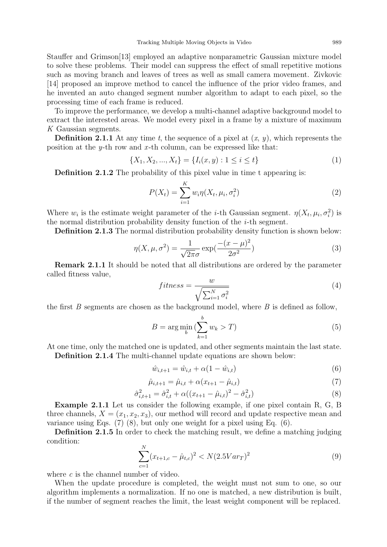Stauffer and Grimson[13] employed an adaptive nonparametric Gaussian mixture model to solve these problems. Their model can suppress the effect of small repetitive motions such as moving branch and leaves of trees as well as small camera movement. Zivkovic [14] proposed an improve method to cancel the influence of the prior video frames, and he invented an auto changed segment number algorithm to adapt to each pixel, so the processing time of each frame is reduced.

To improve the performance, we develop a multi-channel adaptive background model to extract the interested areas. We model every pixel in a frame by a mixture of maximum K Gaussian segments.

**Definition 2.1.1** At any time t, the sequence of a pixel at  $(x, y)$ , which represents the position at the y-th row and x-th column, can be expressed like that:

$$
\{X_1, X_2, ..., X_t\} = \{I_i(x, y) : 1 \le i \le t\}
$$
\n<sup>(1)</sup>

Definition 2.1.2 The probability of this pixel value in time t appearing is:

$$
P(X_t) = \sum_{i=1}^{K} w_i \eta(X_t, \mu_i, \sigma_i^2)
$$
 (2)

Where  $w_i$  is the estimate weight parameter of the *i*-th Gaussian segment.  $\eta(X_t, \mu_i, \sigma_i^2)$  is the normal distribution probability density function of the  $i$ -th segment.

Definition 2.1.3 The normal distribution probability density function is shown below:

$$
\eta(X,\mu,\sigma^2) = \frac{1}{\sqrt{2\pi}\sigma} \exp(\frac{-(x-\mu)^2}{2\sigma^2})
$$
\n(3)

Remark 2.1.1 It should be noted that all distributions are ordered by the parameter called fitness value,

$$
fitness = \frac{w}{\sqrt{\sum_{i=1}^{N} \sigma_i^2}} \tag{4}
$$

the first  $B$  segments are chosen as the background model, where  $B$  is defined as follow,

$$
B = \arg\min_{b} \left( \sum_{k=1}^{b} w_k > T \right) \tag{5}
$$

At one time, only the matched one is updated, and other segments maintain the last state. Definition 2.1.4 The multi-channel update equations are shown below:

$$
\hat{w}_{i,t+1} = \hat{w}_{i,t} + \alpha (1 - \hat{w}_{i,t})
$$
\n(6)

$$
\hat{\mu}_{i,t+1} = \hat{\mu}_{i,t} + \alpha (x_{t+1} - \hat{\mu}_{i,t})
$$
\n(7)

$$
\hat{\sigma}_{i,t+1}^2 = \hat{\sigma}_{i,t}^2 + \alpha((x_{t+1} - \hat{\mu}_{i,t})^2 - \hat{\sigma}_{i,t}^2)
$$
\n(8)

Example 2.1.1 Let us consider the following example, if one pixel contain R, G, B three channels,  $X = (x_1, x_2, x_3)$ , our method will record and update respective mean and variance using Eqs. (7) (8), but only one weight for a pixel using Eq. (6).

Definition 2.1.5 In order to check the matching result, we define a matching judging condition:

$$
\sum_{c=1}^{N} (x_{t+1,c} - \hat{\mu}_{t,c})^2 < N(2.5Var_T)^2 \tag{9}
$$

where c is the channel number of video.

When the update procedure is completed, the weight must not sum to one, so our algorithm implements a normalization. If no one is matched, a new distribution is built, if the number of segment reaches the limit, the least weight component will be replaced.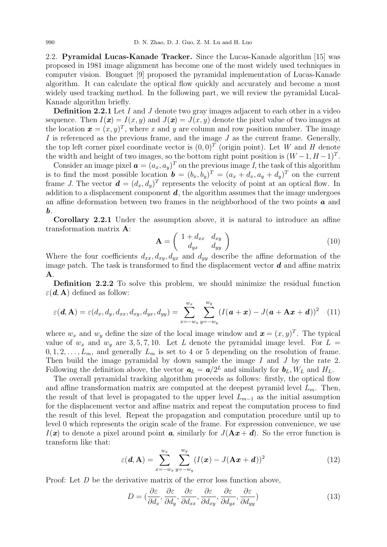2.2. Pyramidal Lucas-Kanade Tracker. Since the Lucas-Kanade algorithm [15] was proposed in 1981 image alignment has become one of the most widely used techniques in computer vision. Bouguet [9] proposed the pyramidal implementation of Lucas-Kanade algorithm. It can calculate the optical flow quickly and accurately and become a most widely used tracking method. In the following part, we will review the pyramidal Lucal-Kanade algorithm briefly.

**Definition 2.2.1** Let I and J denote two gray images adjacent to each other in a video sequence. Then  $I(\mathbf{x}) = I(x, y)$  and  $J(\mathbf{x}) = J(x, y)$  denote the pixel value of two images at the location  $\mathbf{x} = (x, y)^T$ , where x and y are column and row position number. The image I is referenced as the previous frame, and the image  $J$  as the current frame. Generally, the top left corner pixel coordinate vector is  $(0,0)^T$  (origin point). Let W and H denote the width and height of two images, so the bottom right point position is  $(W-1, H-1)^T$ .

Consider an image pixel  $\mathbf{a} = (a_x, a_y)^T$  on the previous image I, the task of this algorithm is to find the most possible location  $\mathbf{b} = (b_x, b_y)^T = (a_x + d_x, a_y + d_y)^T$  on the current frame J. The vector  $\mathbf{d} = (d_x, d_y)^T$  represents the velocity of point at an optical flow. In addition to a displacement component  $d$ , the algorithm assumes that the image undergoes an affine deformation between two frames in the neighborhood of the two points  $\boldsymbol{a}$  and b.

Corollary 2.2.1 Under the assumption above, it is natural to introduce an affine transformation matrix A:

$$
\mathbf{A} = \begin{pmatrix} 1 + d_{xx} & d_{xy} \\ d_{yx} & d_{yy} \end{pmatrix} \tag{10}
$$

Where the four coefficients  $d_{xx}, d_{xy}, d_{yx}$  and  $d_{yy}$  describe the affine deformation of the image patch. The task is transformed to find the displacement vector  $\boldsymbol{d}$  and affine matrix A.

Definition 2.2.2 To solve this problem, we should minimize the residual function  $\varepsilon(\mathbf{d}, \mathbf{A})$  defined as follow:

$$
\varepsilon(\boldsymbol{d}, \mathbf{A}) = \varepsilon(d_x, d_y, d_{xx}, d_{xy}, d_{yx}, d_{yy}) = \sum_{x=-w_x}^{w_x} \sum_{y=-w_y}^{w_y} (I(\boldsymbol{a} + \boldsymbol{x}) - J(\boldsymbol{a} + \mathbf{A}\boldsymbol{x} + \boldsymbol{d}))^2 \quad (11)
$$

where  $w_x$  and  $w_y$  define the size of the local image window and  $\boldsymbol{x} = (x, y)^T$ . The typical value of  $w_x$  and  $w_y$  are 3, 5, 7, 10. Let L denote the pyramidal image level. For  $L =$  $0, 1, 2, \ldots, L_m$ , and generally  $L_m$  is set to 4 or 5 depending on the resolution of frame. Then build the image pyramidal by down sample the image  $I$  and  $J$  by the rate 2. Following the definition above, the vector  $a_L = a/2^L$  and similarly for  $b_L$ ,  $W_L$  and  $H_L$ .

The overall pyramidal tracking algorithm proceeds as follows: firstly, the optical flow and affine transformation matrix are computed at the deepest pyramid level  $L_m$ . Then, the result of that level is propagated to the upper level  $L_{m-1}$  as the initial assumption for the displacement vector and affine matrix and repeat the computation process to find the result of this level. Repeat the propagation and computation procedure until up to level 0 which represents the origin scale of the frame. For expression convenience, we use  $I(x)$  to denote a pixel around point a, similarly for  $J(Ax + d)$ . So the error function is transform like that:

$$
\varepsilon(\mathbf{d}, \mathbf{A}) = \sum_{x=-w_x}^{w_x} \sum_{y=-w_y}^{w_y} (I(\mathbf{x}) - J(\mathbf{A}\mathbf{x} + \mathbf{d}))^2
$$
(12)

Proof: Let D be the derivative matrix of the error loss function above,

$$
D = \left(\frac{\partial \varepsilon}{\partial d_x}, \frac{\partial \varepsilon}{\partial d_y}, \frac{\partial \varepsilon}{\partial d_{xx}}, \frac{\partial \varepsilon}{\partial d_{xy}}, \frac{\partial \varepsilon}{\partial d_{yx}}, \frac{\partial \varepsilon}{\partial d_{yy}}\right)
$$
(13)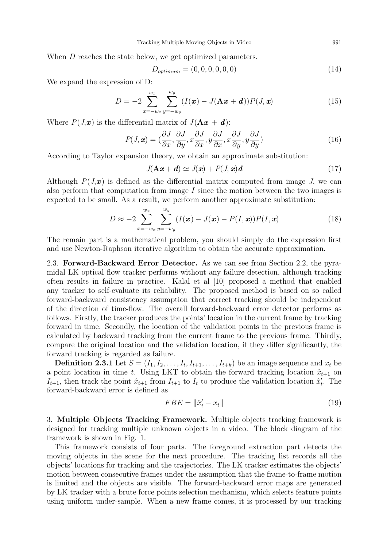When D reaches the state below, we get optimized parameters.

$$
D_{optimum} = (0, 0, 0, 0, 0, 0)
$$
\n<sup>(14)</sup>

We expand the expression of  $D$ :

$$
D = -2 \sum_{x=-w_x}^{w_x} \sum_{y=-w_y}^{w_y} (I(\mathbf{x}) - J(\mathbf{A}\mathbf{x} + \mathbf{d})) P(J, \mathbf{x})
$$
(15)

Where  $P(J,\mathbf{x})$  is the differential matrix of  $J(\mathbf{A}\mathbf{x} + \mathbf{d})$ :

$$
P(J, x) = \left(\frac{\partial J}{\partial x}, \frac{\partial J}{\partial y}, x\frac{\partial J}{\partial x}, y\frac{\partial J}{\partial x}, x\frac{\partial J}{\partial y}, y\frac{\partial J}{\partial y}\right)
$$
(16)

According to Taylor expansion theory, we obtain an approximate substitution:

$$
J(\mathbf{A}\boldsymbol{x}+\boldsymbol{d})\simeq J(\boldsymbol{x})+P(J,\boldsymbol{x})\boldsymbol{d}\tag{17}
$$

Although  $P(J,\mathbf{x})$  is defined as the differential matrix computed from image J, we can also perform that computation from image  $I$  since the motion between the two images is expected to be small. As a result, we perform another approximate substitution:

$$
D \approx -2\sum_{x=-w_x}^{w_x} \sum_{y=-w_y}^{w_y} (I(\boldsymbol{x}) - J(\boldsymbol{x}) - P(I, \boldsymbol{x})) P(I, \boldsymbol{x}) \tag{18}
$$

The remain part is a mathematical problem, you should simply do the expression first and use Newton-Raphson iterative algorithm to obtain the accurate approximation.

2.3. Forward-Backward Error Detector. As we can see from Section 2.2, the pyramidal LK optical flow tracker performs without any failure detection, although tracking often results in failure in practice. Kalal et al [10] proposed a method that enabled any tracker to self-evaluate its reliability. The proposed method is based on so called forward-backward consistency assumption that correct tracking should be independent of the direction of time-flow. The overall forward-backward error detector performs as follows. Firstly, the tracker produces the points' location in the current frame by tracking forward in time. Secondly, the location of the validation points in the previous frame is calculated by backward tracking from the current frame to the previous frame. Thirdly, compare the original location and the validation location, if they differ significantly, the forward tracking is regarded as failure.

**Definition 2.3.1** Let  $S = (I_1, I_2, \ldots, I_t, I_{t+1}, \ldots, I_{t+k})$  be an image sequence and  $x_t$  be a point location in time t. Using LKT to obtain the forward tracking location  $\hat{x}_{t+1}$  on  $I_{t+1}$ , then track the point  $\hat{x}_{t+1}$  from  $I_{t+1}$  to  $I_t$  to produce the validation location  $\hat{x}'_t$ . The forward-backward error is defined as

$$
FBE = \|\hat{x}'_t - x_t\| \tag{19}
$$

3. Multiple Objects Tracking Framework. Multiple objects tracking framework is designed for tracking multiple unknown objects in a video. The block diagram of the framework is shown in Fig. 1.

This framework consists of four parts. The foreground extraction part detects the moving objects in the scene for the next procedure. The tracking list records all the objects' locations for tracking and the trajectories. The LK tracker estimates the objects' motion between consecutive frames under the assumption that the frame-to-frame motion is limited and the objects are visible. The forward-backward error maps are generated by LK tracker with a brute force points selection mechanism, which selects feature points using uniform under-sample. When a new frame comes, it is processed by our tracking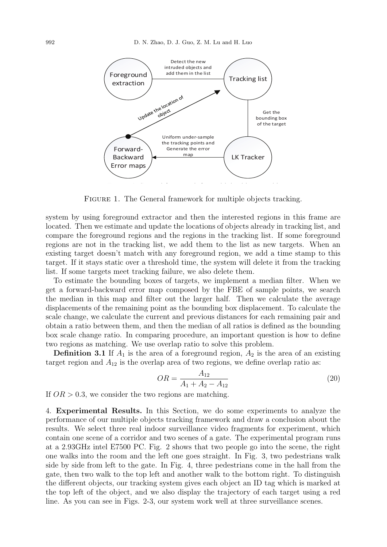

FIGURE 1. The General framework for multiple objects tracking.

system by using foreground extractor and then the interested regions in this frame are located. Then we estimate and update the locations of objects already in tracking list, and compare the foreground regions and the regions in the tracking list. If some foreground regions are not in the tracking list, we add them to the list as new targets. When an existing target doesn't match with any foreground region, we add a time stamp to this target. If it stays static over a threshold time, the system will delete it from the tracking list. If some targets meet tracking failure, we also delete them.

To estimate the bounding boxes of targets, we implement a median filter. When we get a forward-backward error map composed by the FBE of sample points, we search the median in this map and filter out the larger half. Then we calculate the average displacements of the remaining point as the bounding box displacement. To calculate the scale change, we calculate the current and previous distances for each remaining pair and obtain a ratio between them, and then the median of all ratios is defined as the bounding box scale change ratio. In comparing procedure, an important question is how to define two regions as matching. We use overlap ratio to solve this problem.

**Definition 3.1** If  $A_1$  is the area of a foreground region,  $A_2$  is the area of an existing target region and  $A_{12}$  is the overlap area of two regions, we define overlap ratio as:

$$
OR = \frac{A_{12}}{A_1 + A_2 - A_{12}}\tag{20}
$$

If  $OR > 0.3$ , we consider the two regions are matching.

4. Experimental Results. In this Section, we do some experiments to analyze the performance of our multiple objects tracking framework and draw a conclusion about the results. We select three real indoor surveillance video fragments for experiment, which contain one scene of a corridor and two scenes of a gate. The experimental program runs at a 2.93GHz intel E7500 PC. Fig. 2 shows that two people go into the scene, the right one walks into the room and the left one goes straight. In Fig. 3, two pedestrians walk side by side from left to the gate. In Fig. 4, three pedestrians come in the hall from the gate, then two walk to the top left and another walk to the bottom right. To distinguish the different objects, our tracking system gives each object an ID tag which is marked at the top left of the object, and we also display the trajectory of each target using a red line. As you can see in Figs. 2-3, our system work well at three surveillance scenes.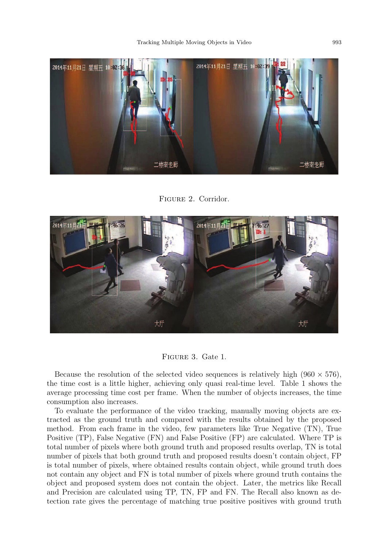

Figure 2. Corridor.





Because the resolution of the selected video sequences is relatively high  $(960 \times 576)$ , the time cost is a little higher, achieving only quasi real-time level. Table 1 shows the average processing time cost per frame. When the number of objects increases, the time consumption also increases.

To evaluate the performance of the video tracking, manually moving objects are extracted as the ground truth and compared with the results obtained by the proposed method. From each frame in the video, few parameters like True Negative (TN), True Positive (TP), False Negative (FN) and False Positive (FP) are calculated. Where TP is total number of pixels where both ground truth and proposed results overlap, TN is total number of pixels that both ground truth and proposed results doesn't contain object, FP is total number of pixels, where obtained results contain object, while ground truth does not contain any object and FN is total number of pixels where ground truth contains the object and proposed system does not contain the object. Later, the metrics like Recall and Precision are calculated using TP, TN, FP and FN. The Recall also known as detection rate gives the percentage of matching true positive positives with ground truth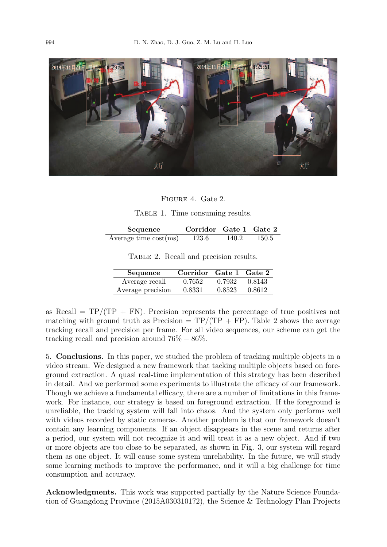

Figure 4. Gate 2.

|  | TABLE 1. Time consuming results. |  |
|--|----------------------------------|--|
|  |                                  |  |

| Sequence                | Corridor Gate 1 Gate 2 |       |       |
|-------------------------|------------------------|-------|-------|
| Average time $cost(ms)$ | 123.6                  | 140.2 | 150.5 |

| TABLE 2. Recall and precision results. |  |  |
|----------------------------------------|--|--|

| Sequence          | Corridor Gate 1 Gate 2 |        |        |
|-------------------|------------------------|--------|--------|
| Average recall    | 0.7652                 | 0.7932 | 0.8143 |
| Average precision | 0.8331                 | 0.8523 | 0.8612 |

as Recall  $= TP/(TP + FN)$ . Precision represents the percentage of true positives not matching with ground truth as Precision  $= TP/(TP + FP)$ . Table 2 shows the average tracking recall and precision per frame. For all video sequences, our scheme can get the tracking recall and precision around  $76\% - 86\%$ .

5. Conclusions. In this paper, we studied the problem of tracking multiple objects in a video stream. We designed a new framework that tacking multiple objects based on foreground extraction. A quasi real-time implementation of this strategy has been described in detail. And we performed some experiments to illustrate the efficacy of our framework. Though we achieve a fundamental efficacy, there are a number of limitations in this framework. For instance, our strategy is based on foreground extraction. If the foreground is unreliable, the tracking system will fall into chaos. And the system only performs well with videos recorded by static cameras. Another problem is that our framework doesn't contain any learning components. If an object disappears in the scene and returns after a period, our system will not recognize it and will treat it as a new object. And if two or more objects are too close to be separated, as shown in Fig. 3, our system will regard them as one object. It will cause some system unreliability. In the future, we will study some learning methods to improve the performance, and it will a big challenge for time consumption and accuracy.

Acknowledgments. This work was supported partially by the Nature Science Foundation of Guangdong Province (2015A030310172), the Science & Technology Plan Projects